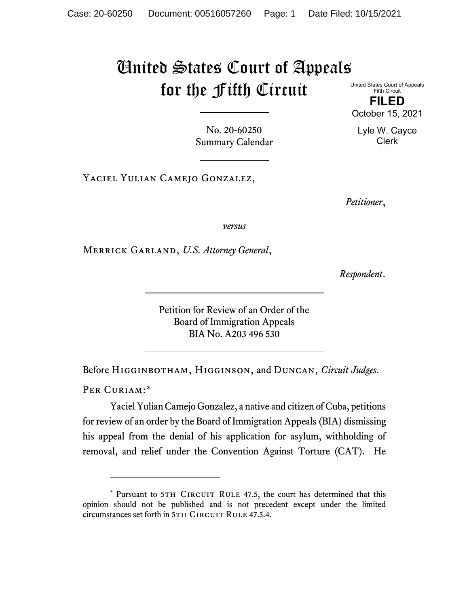## United States Court of Appeals for the Fifth Circuit

United States Court of Appeals Fifth Circuit

**FILED** October 15, 2021

Lyle W. Cayce Clerk

No. 20-60250 Summary Calendar

Yaciel Yulian Camejo Gonzalez,

*Petitioner*,

*versus*

Merrick Garland, *U.S. Attorney General*,

*Respondent*.

Petition for Review of an Order of the Board of Immigration Appeals BIA No. A203 496 530

Before Higginbotham, Higginson, and Duncan, *Circuit Judges*.

PER CURIAM:[\\*](#page-0-0)

Yaciel Yulian Camejo Gonzalez, a native and citizen of Cuba, petitions for review of an order by the Board of Immigration Appeals (BIA) dismissing his appeal from the denial of his application for asylum, withholding of removal, and relief under the Convention Against Torture (CAT). He

<span id="page-0-0"></span><sup>\*</sup> Pursuant to 5TH CIRCUIT RULE 47.5, the court has determined that this opinion should not be published and is not precedent except under the limited circumstances set forth in 5TH CIRCUIT RULE 47.5.4.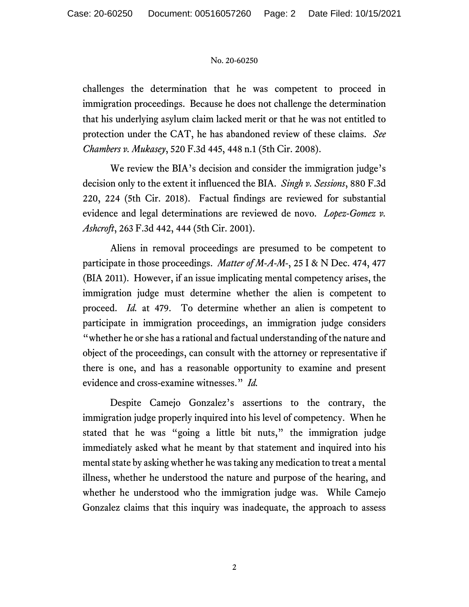## No. 20-60250

challenges the determination that he was competent to proceed in immigration proceedings. Because he does not challenge the determination that his underlying asylum claim lacked merit or that he was not entitled to protection under the CAT, he has abandoned review of these claims. *See Chambers v. Mukasey*, 520 F.3d 445, 448 n.1 (5th Cir. 2008).

We review the BIA's decision and consider the immigration judge's decision only to the extent it influenced the BIA. *Singh v. Sessions*, 880 F.3d 220, 224 (5th Cir. 2018). Factual findings are reviewed for substantial evidence and legal determinations are reviewed de novo. *Lopez-Gomez v. Ashcroft*, 263 F.3d 442, 444 (5th Cir. 2001).

Aliens in removal proceedings are presumed to be competent to participate in those proceedings. *Matter of M-A-M-*, 25 I & N Dec. 474, 477 (BIA 2011). However, if an issue implicating mental competency arises, the immigration judge must determine whether the alien is competent to proceed. *Id.* at 479. To determine whether an alien is competent to participate in immigration proceedings, an immigration judge considers "whether he or she has a rational and factual understanding of the nature and object of the proceedings, can consult with the attorney or representative if there is one, and has a reasonable opportunity to examine and present evidence and cross-examine witnesses." *Id.* 

Despite Camejo Gonzalez's assertions to the contrary, the immigration judge properly inquired into his level of competency. When he stated that he was "going a little bit nuts," the immigration judge immediately asked what he meant by that statement and inquired into his mental state by asking whether he was taking any medication to treat a mental illness, whether he understood the nature and purpose of the hearing, and whether he understood who the immigration judge was. While Camejo Gonzalez claims that this inquiry was inadequate, the approach to assess